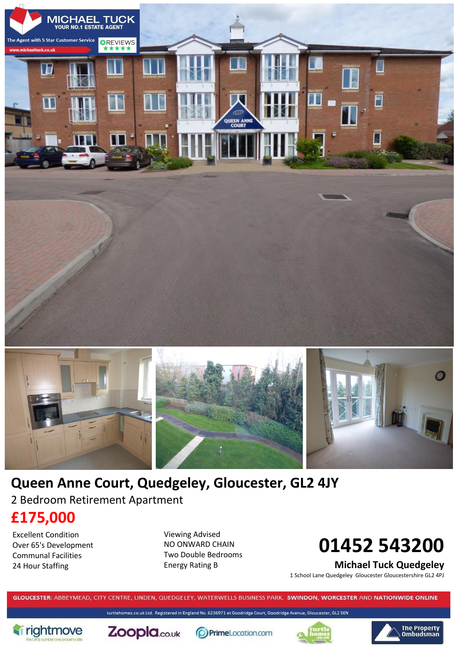



# **Queen Anne Court, Quedgeley, Gloucester, GL2 4JY** 2 Bedroom Retirement Apartment

# **£175,000**

Excellent Condition Over 65's Development Communal Facilities 24 Hour Staffing

Viewing Advised NO ONWARD CHAIN Two Double Bedrooms Energy Rating B

# **01452 543200**

**Michael Tuck Quedgeley**

1 School Lane Quedgeley Gloucester Gloucestershire GL2 4PJ

GLOUCESTER: ABBEYMEAD, CITY CENTRE, LINDEN, QUEDGELEY, WATERWELLS BUSINESS PARK. SWINDON, WORCESTER AND NATIONWIDE ONLINE

turtlehomes.co.uk Ltd. Registered in England No. 6236971 at Goodridge Court, Goodridge Avenue, Gloucester, GL2 5EN





**PrimeLocation.com** 



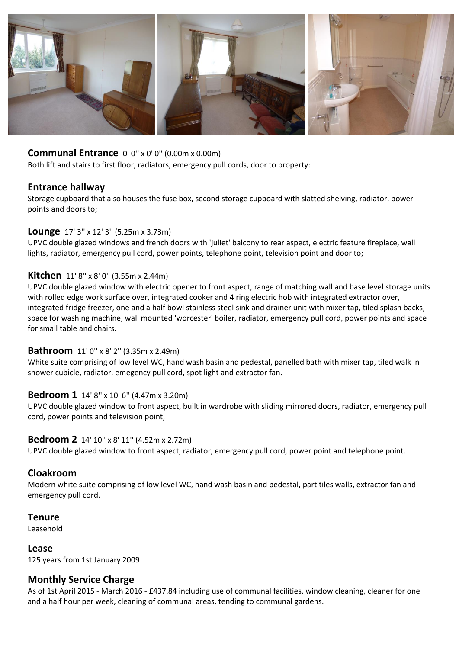

#### **Communal Entrance** 0' 0" x 0' 0" (0.00m x 0.00m)

Both lift and stairs to first floor, radiators, emergency pull cords, door to property:

#### **Entrance hallway**

Storage cupboard that also houses the fuse box, second storage cupboard with slatted shelving, radiator, power points and doors to;

#### **Lounge** 17' 3'' x 12' 3'' (5.25m x 3.73m)

UPVC double glazed windows and french doors with 'juliet' balcony to rear aspect, electric feature fireplace, wall lights, radiator, emergency pull cord, power points, telephone point, television point and door to;

#### **Kitchen** 11' 8" x 8' 0" (3.55m x 2.44m)

UPVC double glazed window with electric opener to front aspect, range of matching wall and base level storage units with rolled edge work surface over, integrated cooker and 4 ring electric hob with integrated extractor over, integrated fridge freezer, one and a half bowl stainless steel sink and drainer unit with mixer tap, tiled splash backs, space for washing machine, wall mounted 'worcester' boiler, radiator, emergency pull cord, power points and space for small table and chairs.

#### **Bathroom** 11' 0'' x 8' 2'' (3.35m x 2.49m)

White suite comprising of low level WC, hand wash basin and pedestal, panelled bath with mixer tap, tiled walk in shower cubicle, radiator, emegency pull cord, spot light and extractor fan.

#### **Bedroom 1** 14' 8'' x 10' 6'' (4.47m x 3.20m)

UPVC double glazed window to front aspect, built in wardrobe with sliding mirrored doors, radiator, emergency pull cord, power points and television point;

#### **Bedroom 2** 14' 10'' x 8' 11'' (4.52m x 2.72m)

UPVC double glazed window to front aspect, radiator, emergency pull cord, power point and telephone point.

#### **Cloakroom**

Modern white suite comprising of low level WC, hand wash basin and pedestal, part tiles walls, extractor fan and emergency pull cord.

#### **Tenure**

Leasehold

#### **Lease**

125 years from 1st January 2009

#### **Monthly Service Charge**

As of 1st April 2015 - March 2016 - £437.84 including use of communal facilities, window cleaning, cleaner for one and a half hour per week, cleaning of communal areas, tending to communal gardens.